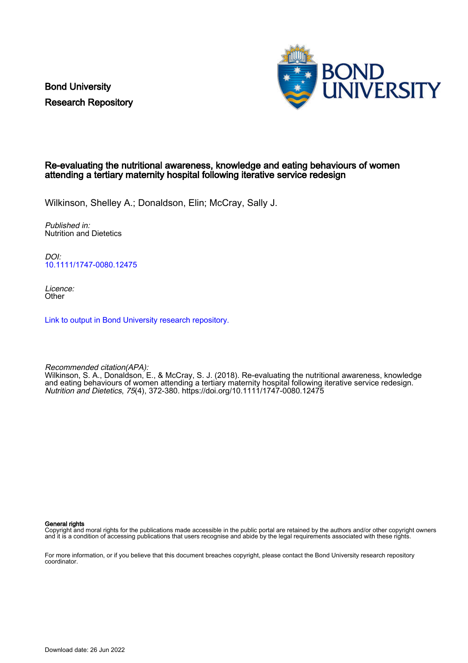Bond University Research Repository



#### Re-evaluating the nutritional awareness, knowledge and eating behaviours of women attending a tertiary maternity hospital following iterative service redesign

Wilkinson, Shelley A.; Donaldson, Elin; McCray, Sally J.

Published in: Nutrition and Dietetics

DOI: [10.1111/1747-0080.12475](https://doi.org/10.1111/1747-0080.12475)

Licence: **Other** 

[Link to output in Bond University research repository.](https://research.bond.edu.au/en/publications/d110d5c5-004b-48ce-8c36-4dcf7407dda7)

Recommended citation(APA): Wilkinson, S. A., Donaldson, E., & McCray, S. J. (2018). Re-evaluating the nutritional awareness, knowledge and eating behaviours of women attending a tertiary maternity hospital following iterative service redesign. Nutrition and Dietetics, 75(4), 372-380.<https://doi.org/10.1111/1747-0080.12475>

General rights

Copyright and moral rights for the publications made accessible in the public portal are retained by the authors and/or other copyright owners and it is a condition of accessing publications that users recognise and abide by the legal requirements associated with these rights.

For more information, or if you believe that this document breaches copyright, please contact the Bond University research repository coordinator.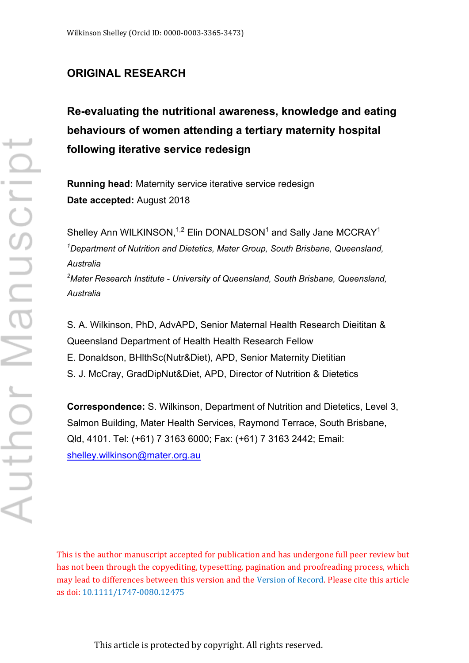# **ORIGINAL RESEARCH**

# **Re-evaluating the nutritional awareness, knowledge and eating behaviours of women attending a tertiary maternity hospital following iterative service redesign**

**Running head:** Maternity service iterative service redesign **Date accepted:** August 2018

Shelley Ann WILKINSON, $1,2}$  Elin DONALDSON<sup>1</sup> and Sally Jane MCCRAY<sup>1</sup> *1 Department of Nutrition and Dietetics, Mater Group, South Brisbane, Queensland, Australia 2 Mater Research Institute - University of Queensland, South Brisbane, Queensland,* 

S. A. Wilkinson, PhD, AdvAPD, Senior Maternal Health Research Dieititan & Queensland Department of Health Health Research Fellow E. Donaldson, BHlthSc(Nutr&Diet), APD, Senior Maternity Dietitian S. J. McCray, GradDipNut&Diet, APD, Director of Nutrition & Dietetics

**Correspondence:** S. Wilkinson, Department of Nutrition and Dietetics, Level 3, Salmon Building, Mater Health Services, Raymond Terrace, South Brisbane, Qld, 4101. Tel: (+61) 7 3163 6000; Fax: (+61) 7 3163 2442; Email: shelley.wilkinson@mater.org.au

This is the author manuscript accepted for publication and has undergone full peer review but has not been through the copyediting, typesetting, pagination and proofreading process, which may lead to differences between this version and the [Version of Record](http://dx.doi.org/10.1111/1747-0080.12475). Please cite this article as doi: [10.1111/1747-0080.12475](http://dx.doi.org/10.1111/1747-0080.12475)

*Australia*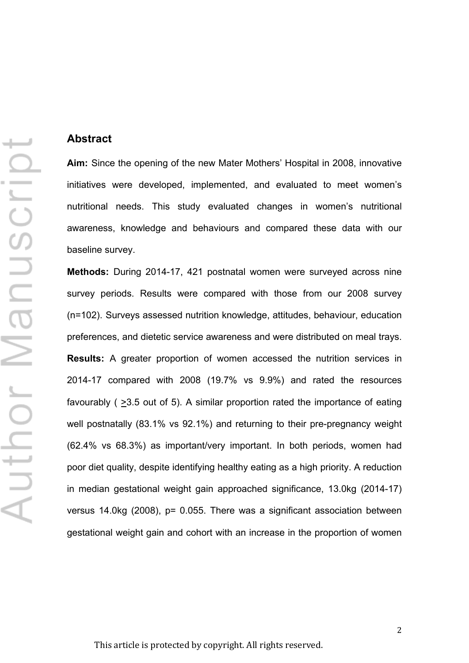## **Abstract**

**Aim:** Since the opening of the new Mater Mothers' Hospital in 2008, innovative initiatives were developed, implemented, and evaluated to meet women's nutritional needs. This study evaluated changes in women's nutritional awareness, knowledge and behaviours and compared these data with our baseline survey.

**Methods:** During 2014-17, 421 postnatal women were surveyed across nine survey periods. Results were compared with those from our 2008 survey (n=102). Surveys assessed nutrition knowledge, attitudes, behaviour, education preferences, and dietetic service awareness and were distributed on meal trays. **Results:** A greater proportion of women accessed the nutrition services in 2014-17 compared with 2008 (19.7% vs 9.9%) and rated the resources favourably ( >3.5 out of 5). A similar proportion rated the importance of eating well postnatally (83.1% vs 92.1%) and returning to their pre-pregnancy weight (62.4% vs 68.3%) as important/very important. In both periods, women had poor diet quality, despite identifying healthy eating as a high priority. A reduction in median gestational weight gain approached significance, 13.0kg (2014-17) versus 14.0kg (2008), p= 0.055. There was a significant association between gestational weight gain and cohort with an increase in the proportion of women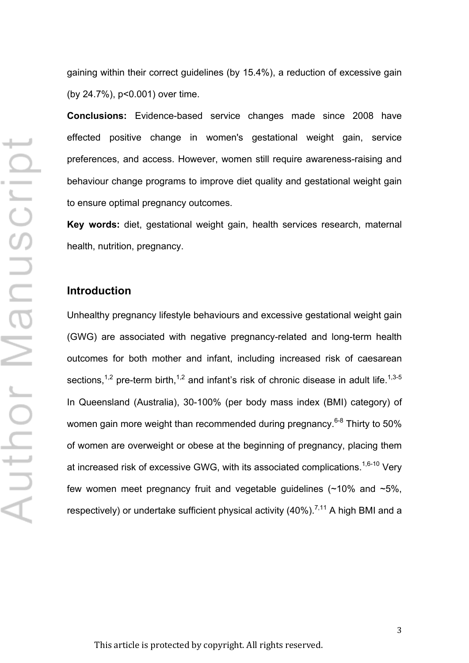gaining within their correct guidelines (by 15.4%), a reduction of excessive gain (by 24.7%), p<0.001) over time.

**Conclusions:** Evidence-based service changes made since 2008 have effected positive change in women's gestational weight gain, service preferences, and access. However, women still require awareness-raising and behaviour change programs to improve diet quality and gestational weight gain to ensure optimal pregnancy outcomes.

**Key words:** diet, gestational weight gain, health services research, maternal health, nutrition, pregnancy.

### **Introduction**

Unhealthy pregnancy lifestyle behaviours and excessive gestational weight gain (GWG) are associated with negative pregnancy-related and long-term health outcomes for both mother and infant, including increased risk of caesarean sections,<sup>1,2</sup> pre-term birth,<sup>1,2</sup> and infant's risk of chronic disease in adult life.<sup>1,3-5</sup> In Queensland (Australia), 30-100% (per body mass index (BMI) category) of women gain more weight than recommended during pregnancy.<sup>6-8</sup> Thirty to 50% of women are overweight or obese at the beginning of pregnancy, placing them at increased risk of excessive GWG, with its associated complications.<sup>1,6-10</sup> Very few women meet pregnancy fruit and vegetable guidelines  $($  ~10% and  $\sim$ 5%. respectively) or undertake sufficient physical activity (40%).<sup>7,11</sup> A high BMI and a

This article is protected by copyright. All rights reserved.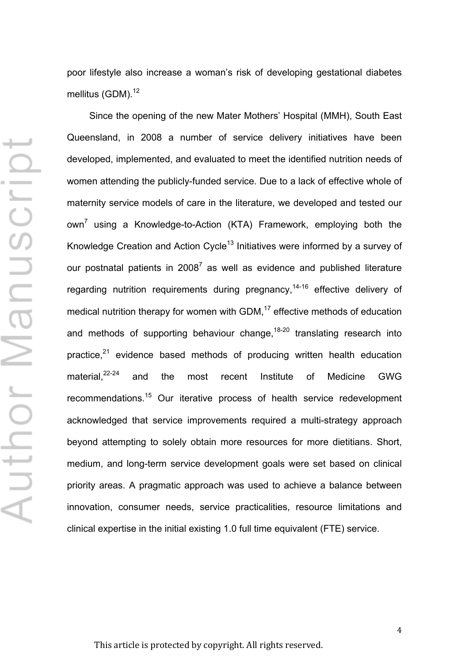poor lifestyle also increase a woman's risk of developing gestational diabetes mellitus (GDM).<sup>12</sup>

Since the opening of the new Mater Mothers' Hospital (MMH), South East Queensland, in 2008 a number of service delivery initiatives have been developed, implemented, and evaluated to meet the identified nutrition needs of women attending the publicly-funded service. Due to a lack of effective whole of maternity service models of care in the literature, we developed and tested our own<sup>7</sup> using a Knowledge-to-Action (KTA) Framework, employing both the Knowledge Creation and Action Cycle<sup>13</sup> Initiatives were informed by a survey of our postnatal patients in  $2008<sup>7</sup>$  as well as evidence and published literature regarding nutrition requirements during pregnancy,<sup>14-16</sup> effective delivery of medical nutrition therapy for women with GDM, <sup>17</sup> effective methods of education and methods of supporting behaviour change,<sup>18-20</sup> translating research into practice,<sup>21</sup> evidence based methods of producing written health education material. $22-24$  $22-24$  and the most recent Institute of Medicine GWG recommendations.<sup>15</sup> Our iterative process of health service redevelopment acknowledged that service improvements required a multi-strategy approach beyond attempting to solely obtain more resources for more dietitians. Short, medium, and long-term service development goals were set based on clinical priority areas. A pragmatic approach was used to achieve a balance between innovation, consumer needs, service practicalities, resource limitations and clinical expertise in the initial existing 1.0 full time equivalent (FTE) service.

⊢ Author Manuscrip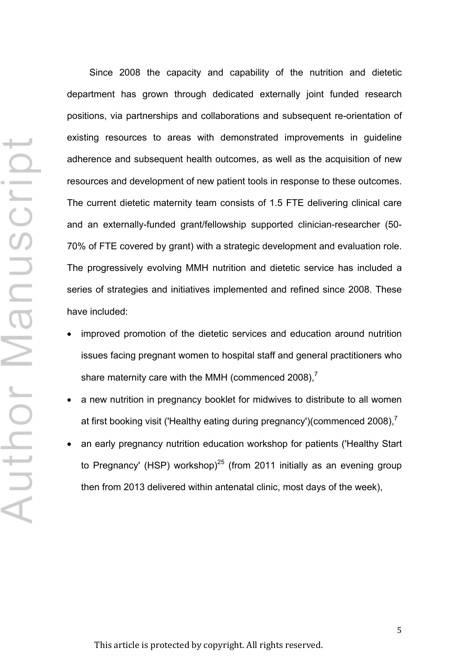Since 2008 the capacity and capability of the nutrition and dietetic department has grown through dedicated externally joint funded research positions, via partnerships and collaborations and subsequent re-orientation of existing resources to areas with demonstrated improvements in guideline adherence and subsequent health outcomes, as well as the acquisition of new resources and development of new patient tools in response to these outcomes. The current dietetic maternity team consists of 1.5 FTE delivering clinical care and an externally-funded grant/fellowship supported clinician-researcher (50- 70% of FTE covered by grant) with a strategic development and evaluation role. The progressively evolving MMH nutrition and dietetic service has included a series of strategies and initiatives implemented and refined since 2008. These have included:

- improved promotion of the dietetic services and education around nutrition issues facing pregnant women to hospital staff and general practitioners who share maternity care with the MMH (commenced 2008),<sup>7</sup>
- a new nutrition in pregnancy booklet for midwives to distribute to all women at first booking visit ('Healthy eating during pregnancy')(commenced 2008),<sup>7</sup>
- an early pregnancy nutrition education workshop for patients ('Healthy Start to Pregnancy' (HSP) workshop)<sup>25</sup> (from 2011 initially as an evening group then from 2013 delivered within antenatal clinic, most days of the week),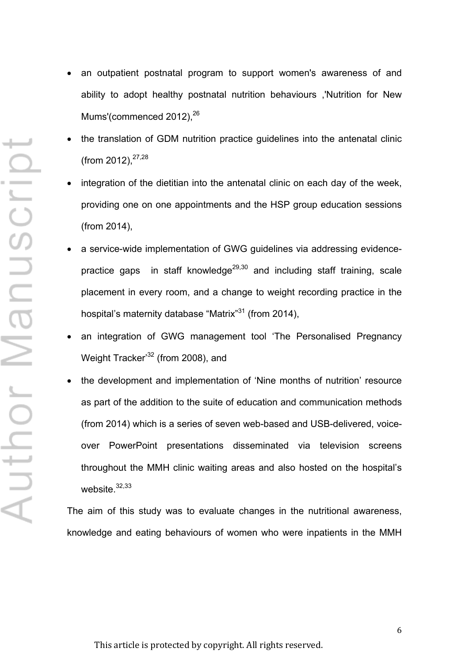- Author Manuscrip
- an outpatient postnatal program to support women's awareness of and ability to adopt healthy postnatal nutrition behaviours ,'Nutrition for New Mums'(commenced 2012),<sup>26</sup>
- the translation of GDM nutrition practice guidelines into the antenatal clinic (from 2012),  $27,28$
- integration of the dietitian into the antenatal clinic on each day of the week, providing one on one appointments and the HSP group education sessions (from 2014),
- a service-wide implementation of GWG guidelines via addressing evidencepractice gaps in staff knowledge<sup>29,30</sup> and including staff training, scale placement in every room, and a change to weight recording practice in the hospital's maternity database "Matrix"<sup>31</sup> (from 2014),
- an integration of GWG management tool 'The Personalised Pregnancy Weight Tracker<sup>32</sup> (from 2008), and
- the development and implementation of 'Nine months of nutrition' resource as part of the addition to the suite of education and communication methods (from 2014) which is a series of seven web-based and USB-delivered, voiceover PowerPoint presentations disseminated via television screens throughout the MMH clinic waiting areas and also hosted on the hospital's website. 32,33

The aim of this study was to evaluate changes in the nutritional awareness, knowledge and eating behaviours of women who were inpatients in the MMH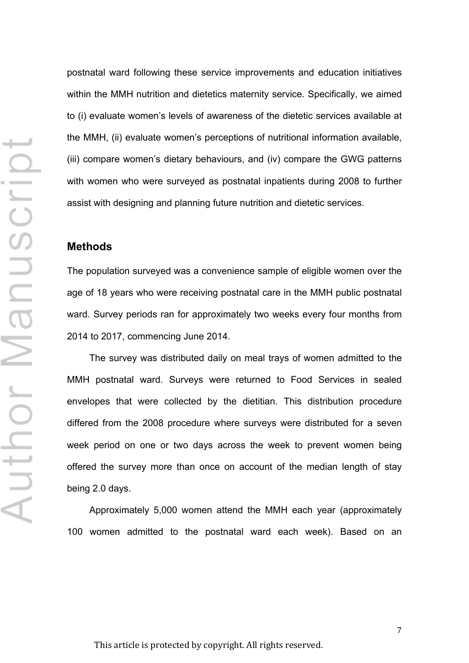postnatal ward following these service improvements and education initiatives within the MMH nutrition and dietetics maternity service. Specifically, we aimed to (i) evaluate women's levels of awareness of the dietetic services available at the MMH, (ii) evaluate women's perceptions of nutritional information available, (iii) compare women's dietary behaviours, and (iv) compare the GWG patterns with women who were surveyed as postnatal inpatients during 2008 to further assist with designing and planning future nutrition and dietetic services.

#### **Methods**

The population surveyed was a convenience sample of eligible women over the age of 18 years who were receiving postnatal care in the MMH public postnatal ward. Survey periods ran for approximately two weeks every four months from 2014 to 2017, commencing June 2014.

The survey was distributed daily on meal trays of women admitted to the MMH postnatal ward. Surveys were returned to Food Services in sealed envelopes that were collected by the dietitian. This distribution procedure differed from the 2008 procedure where surveys were distributed for a seven week period on one or two days across the week to prevent women being offered the survey more than once on account of the median length of stay being 2.0 days.

Approximately 5,000 women attend the MMH each year (approximately 100 women admitted to the postnatal ward each week). Based on an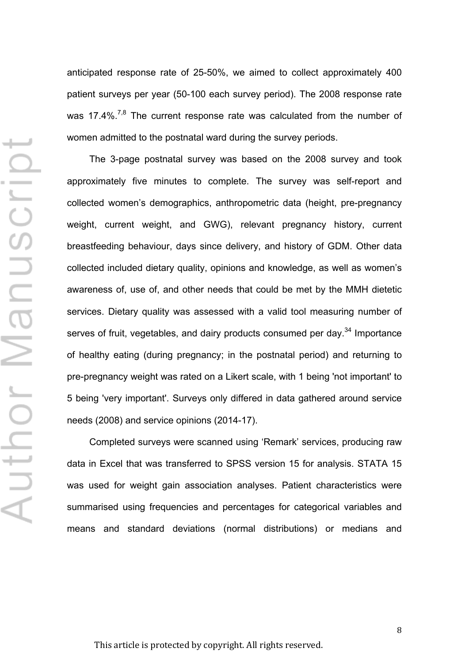anticipated response rate of 25-50%, we aimed to collect approximately 400 patient surveys per year (50-100 each survey period). The 2008 response rate was 17.4%.<sup>7,8</sup> The current response rate was calculated from the number of women admitted to the postnatal ward during the survey periods.

The 3-page postnatal survey was based on the 2008 survey and took approximately five minutes to complete. The survey was self-report and collected women's demographics, anthropometric data (height, pre-pregnancy weight, current weight, and GWG), relevant pregnancy history, current breastfeeding behaviour, days since delivery, and history of GDM. Other data collected included dietary quality, opinions and knowledge, as well as women's awareness of, use of, and other needs that could be met by the MMH dietetic services. Dietary quality was assessed with a valid tool measuring number of serves of fruit, vegetables, and dairy products consumed per day.<sup>34</sup> Importance of healthy eating (during pregnancy; in the postnatal period) and returning to pre-pregnancy weight was rated on a Likert scale, with 1 being 'not important' to 5 being 'very important'. Surveys only differed in data gathered around service needs (2008) and service opinions (2014-17).

Completed surveys were scanned using 'Remark' services, producing raw data in Excel that was transferred to SPSS version 15 for analysis. STATA 15 was used for weight gain association analyses. Patient characteristics were summarised using frequencies and percentages for categorical variables and means and standard deviations (normal distributions) or medians and

This article is protected by copyright. All rights reserved.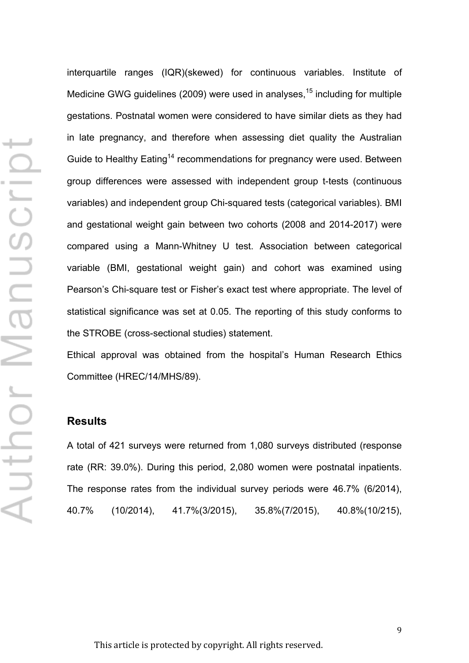interquartile ranges (IQR)(skewed) for continuous variables. Institute of Medicine GWG guidelines (2009) were used in analyses,<sup>15</sup> including for multiple gestations. Postnatal women were considered to have similar diets as they had in late pregnancy, and therefore when assessing diet quality the Australian Guide to Healthy Eating<sup>14</sup> recommendations for pregnancy were used. Between group differences were assessed with independent group t-tests (continuous variables) and independent group Chi-squared tests (categorical variables). BMI and gestational weight gain between two cohorts (2008 and 2014-2017) were compared using a Mann-Whitney U test. Association between categorical variable (BMI, gestational weight gain) and cohort was examined using Pearson's Chi-square test or Fisher's exact test where appropriate. The level of statistical significance was set at 0.05. The reporting of this study conforms to the STROBE (cross-sectional studies) statement.

Ethical approval was obtained from the hospital's Human Research Ethics Committee (HREC/14/MHS/89).

#### **Results**

A total of 421 surveys were returned from 1,080 surveys distributed (response rate (RR: 39.0%). During this period, 2,080 women were postnatal inpatients. The response rates from the individual survey periods were 46.7% (6/2014), 40.7% (10/2014), 41.7%(3/2015), 35.8%(7/2015), 40.8%(10/215),

This article is protected by copyright. All rights reserved.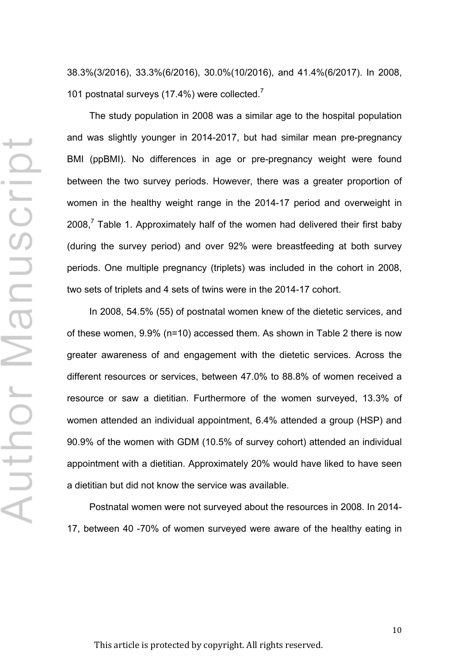38.3%(3/2016), 33.3%(6/2016), 30.0%(10/2016), and 41.4%(6/2017). In 2008, 101 postnatal surveys (17.4%) were collected.<sup>7</sup>

The study population in 2008 was a similar age to the hospital population and was slightly younger in 2014-2017, but had similar mean pre-pregnancy BMI (ppBMI). No differences in age or pre-pregnancy weight were found between the two survey periods. However, there was a greater proportion of women in the healthy weight range in the 2014-17 period and overweight in 2008, $<sup>7</sup>$  Table 1. Approximately half of the women had delivered their first baby</sup> (during the survey period) and over 92% were breastfeeding at both survey periods. One multiple pregnancy (triplets) was included in the cohort in 2008, two sets of triplets and 4 sets of twins were in the 2014-17 cohort.

In 2008, 54.5% (55) of postnatal women knew of the dietetic services, and of these women, 9.9% (n=10) accessed them. As shown in Table 2 there is now greater awareness of and engagement with the dietetic services. Across the different resources or services, between 47.0% to 88.8% of women received a resource or saw a dietitian. Furthermore of the women surveyed, 13.3% of women attended an individual appointment, 6.4% attended a group (HSP) and 90.9% of the women with GDM (10.5% of survey cohort) attended an individual appointment with a dietitian. Approximately 20% would have liked to have seen a dietitian but did not know the service was available.

Postnatal women were not surveyed about the resources in 2008. In 2014- 17, between 40 -70% of women surveyed were aware of the healthy eating in

This article is protected by copyright. All rights reserved.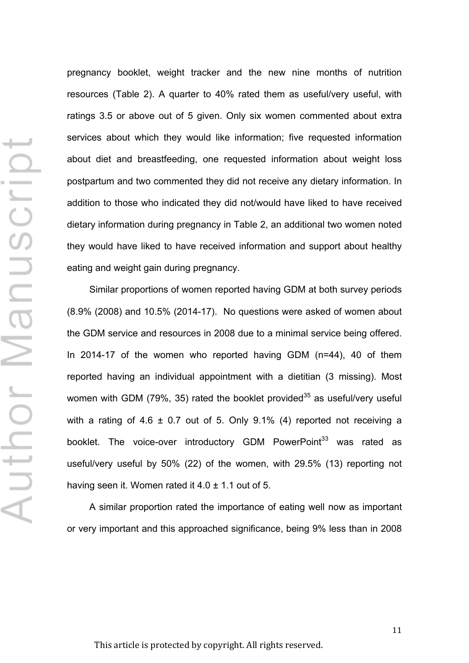pregnancy booklet, weight tracker and the new nine months of nutrition resources (Table 2). A quarter to 40% rated them as useful/very useful, with ratings 3.5 or above out of 5 given. Only six women commented about extra services about which they would like information; five requested information about diet and breastfeeding, one requested information about weight loss postpartum and two commented they did not receive any dietary information. In addition to those who indicated they did not/would have liked to have received dietary information during pregnancy in Table 2, an additional two women noted they would have liked to have received information and support about healthy eating and weight gain during pregnancy.

Similar proportions of women reported having GDM at both survey periods (8.9% (2008) and 10.5% (2014-17). No questions were asked of women about the GDM service and resources in 2008 due to a minimal service being offered. In 2014-17 of the women who reported having GDM (n=44), 40 of them reported having an individual appointment with a dietitian (3 missing). Most women with GDM (79%, 35) rated the booklet provided<sup>35</sup> as useful/very useful with a rating of  $4.6 \pm 0.7$  out of 5. Only 9.1% (4) reported not receiving a booklet. The voice-over introductory GDM PowerPoint<sup>33</sup> was rated as useful/very useful by 50% (22) of the women, with 29.5% (13) reporting not having seen it. Women rated it  $4.0 \pm 1.1$  out of 5.

A similar proportion rated the importance of eating well now as important or very important and this approached significance, being 9% less than in 2008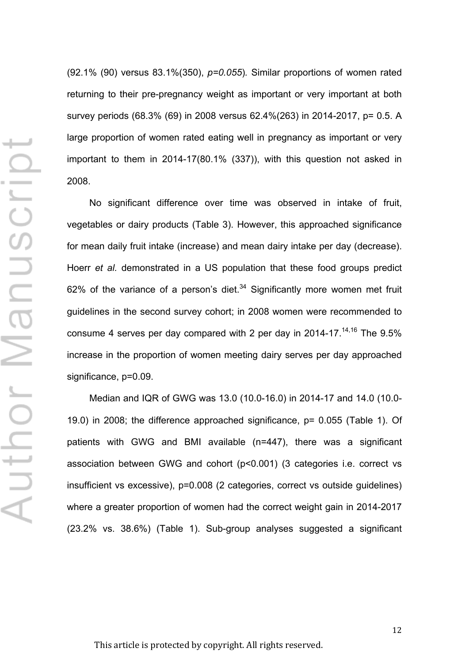(92.1% (90) versus 83.1%(350), *p=0.055*)*.* Similar proportions of women rated returning to their pre-pregnancy weight as important or very important at both survey periods (68.3% (69) in 2008 versus 62.4%(263) in 2014-2017, p= 0.5. A large proportion of women rated eating well in pregnancy as important or very important to them in 2014-17(80.1% (337)), with this question not asked in 2008.

No significant difference over time was observed in intake of fruit, vegetables or dairy products (Table 3). However, this approached significance for mean daily fruit intake (increase) and mean dairy intake per day (decrease). Hoerr *et al.* demonstrated in a US population that these food groups predict 62% of the variance of a person's diet.<sup>34</sup> Significantly more women met fruit guidelines in the second survey cohort; in 2008 women were recommended to consume 4 serves per day compared with 2 per day in 2014-17.<sup>14,16</sup> The 9.5% increase in the proportion of women meeting dairy serves per day approached significance, p=0.09.

Median and IQR of GWG was 13.0 (10.0-16.0) in 2014-17 and 14.0 (10.0- 19.0) in 2008; the difference approached significance, p= 0.055 (Table 1). Of patients with GWG and BMI available (n=447), there was a significant association between GWG and cohort (p<0.001) (3 categories i.e. correct vs insufficient vs excessive), p=0.008 (2 categories, correct vs outside guidelines) where a greater proportion of women had the correct weight gain in 2014-2017 (23.2% vs. 38.6%) (Table 1). Sub-group analyses suggested a significant

This article is protected by copyright. All rights reserved.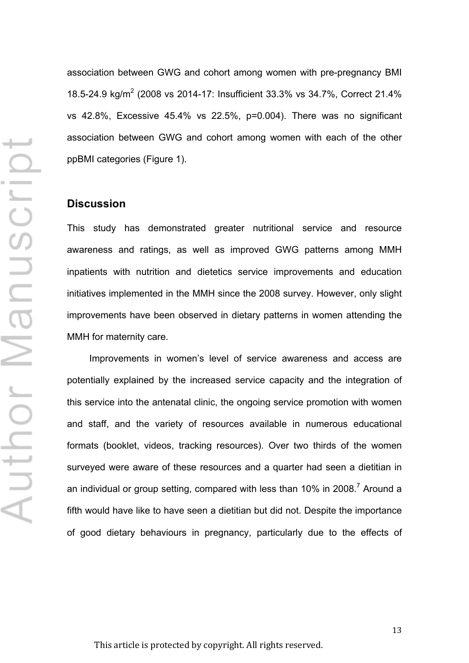association between GWG and cohort among women with pre-pregnancy BMI 18.5-24.9 kg/m<sup>2</sup> (2008 vs 2014-17: Insufficient 33.3% vs 34.7%, Correct 21.4% vs 42.8%, Excessive 45.4% vs 22.5%, p=0.004). There was no significant association between GWG and cohort among women with each of the other ppBMI categories (Figure 1).

#### **Discussion**

This study has demonstrated greater nutritional service and resource awareness and ratings, as well as improved GWG patterns among MMH inpatients with nutrition and dietetics service improvements and education initiatives implemented in the MMH since the 2008 survey. However, only slight improvements have been observed in dietary patterns in women attending the MMH for maternity care.

Improvements in women's level of service awareness and access are potentially explained by the increased service capacity and the integration of this service into the antenatal clinic, the ongoing service promotion with women and staff, and the variety of resources available in numerous educational formats (booklet, videos, tracking resources). Over two thirds of the women surveyed were aware of these resources and a quarter had seen a dietitian in an individual or group setting, compared with less than  $10\%$  in 2008.<sup>7</sup> Around a fifth would have like to have seen a dietitian but did not. Despite the importance of good dietary behaviours in pregnancy, particularly due to the effects of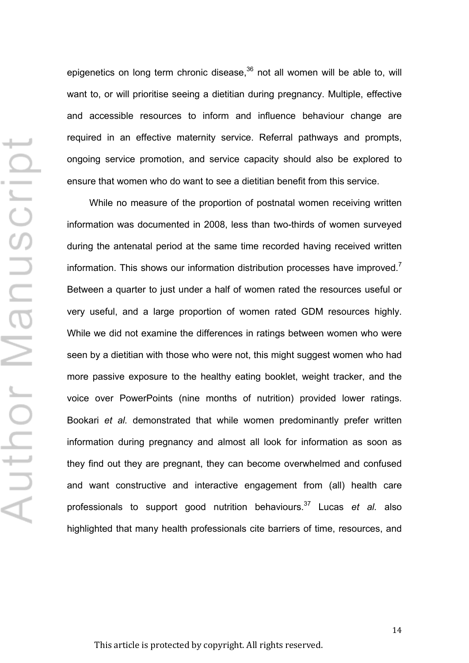epigenetics on long term chronic disease, $36$  not all women will be able to, will want to, or will prioritise seeing a dietitian during pregnancy. Multiple, effective and accessible resources to inform and influence behaviour change are required in an effective maternity service. Referral pathways and prompts, ongoing service promotion, and service capacity should also be explored to ensure that women who do want to see a dietitian benefit from this service.

While no measure of the proportion of postnatal women receiving written information was documented in 2008, less than two-thirds of women surveyed during the antenatal period at the same time recorded having received written information. This shows our information distribution processes have improved.<sup>7</sup> Between a quarter to just under a half of women rated the resources useful or very useful, and a large proportion of women rated GDM resources highly. While we did not examine the differences in ratings between women who were seen by a dietitian with those who were not, this might suggest women who had more passive exposure to the healthy eating booklet, weight tracker, and the voice over PowerPoints (nine months of nutrition) provided lower ratings. Bookari *et al.* demonstrated that while women predominantly prefer written information during pregnancy and almost all look for information as soon as they find out they are pregnant, they can become overwhelmed and confused and want constructive and interactive engagement from (all) health care professionals to support good nutrition behaviours.<sup>37</sup> Lucas *et al.* also highlighted that many health professionals cite barriers of time, resources, and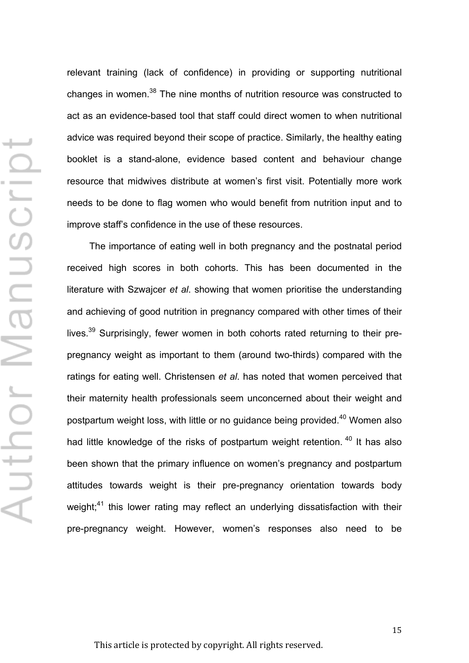Н Author Manuscrip relevant training (lack of confidence) in providing or supporting nutritional changes in women.<sup>38</sup> The nine months of nutrition resource was constructed to act as an evidence-based tool that staff could direct women to when nutritional advice was required beyond their scope of practice. Similarly, the healthy eating booklet is a stand-alone, evidence based content and behaviour change resource that midwives distribute at women's first visit. Potentially more work needs to be done to flag women who would benefit from nutrition input and to improve staff's confidence in the use of these resources.

The importance of eating well in both pregnancy and the postnatal period received high scores in both cohorts. This has been documented in the literature with Szwajcer *et al*. showing that women prioritise the understanding and achieving of good nutrition in pregnancy compared with other times of their lives.<sup>39</sup> Surprisingly, fewer women in both cohorts rated returning to their prepregnancy weight as important to them (around two-thirds) compared with the ratings for eating well. Christensen *et al*. has noted that women perceived that their maternity health professionals seem unconcerned about their weight and postpartum weight loss, with little or no guidance being provided.<sup>40</sup> Women also had little knowledge of the risks of postpartum weight retention. <sup>40</sup> It has also been shown that the primary influence on women's pregnancy and postpartum attitudes towards weight is their pre-pregnancy orientation towards body weight;<sup>41</sup> this lower rating may reflect an underlying dissatisfaction with their pre-pregnancy weight. However, women's responses also need to be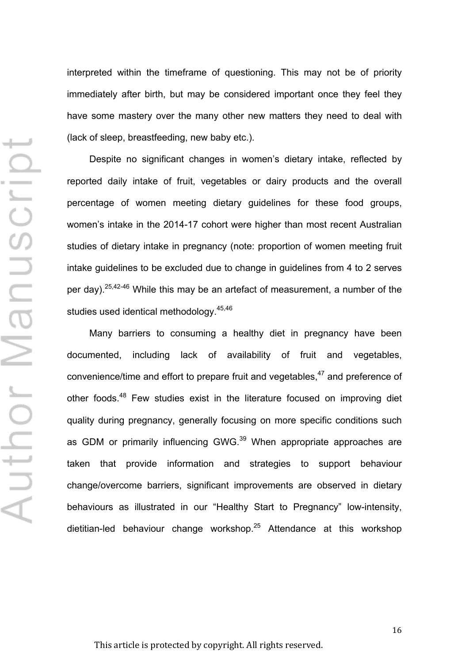⊢ Author Manuscrip interpreted within the timeframe of questioning. This may not be of priority immediately after birth, but may be considered important once they feel they have some mastery over the many other new matters they need to deal with (lack of sleep, breastfeeding, new baby etc.).

Despite no significant changes in women's dietary intake, reflected by reported daily intake of fruit, vegetables or dairy products and the overall percentage of women meeting dietary guidelines for these food groups, women's intake in the 2014-17 cohort were higher than most recent Australian studies of dietary intake in pregnancy (note: proportion of women meeting fruit intake guidelines to be excluded due to change in guidelines from 4 to 2 serves per day).<sup>25,42-46</sup> While this may be an artefact of measurement, a number of the studies used identical methodology.<sup>45,46</sup>

Many barriers to consuming a healthy diet in pregnancy have been documented, including lack of availability of fruit and vegetables, convenience/time and effort to prepare fruit and vegetables,<sup>47</sup> and preference of other foods.<sup>48</sup> Few studies exist in the literature focused on improving diet quality during pregnancy, generally focusing on more specific conditions such as GDM or primarily influencing GWG.<sup>39</sup> When appropriate approaches are taken that provide information and strategies to support behaviour change/overcome barriers, significant improvements are observed in dietary behaviours as illustrated in our "Healthy Start to Pregnancy" low-intensity, dietitian-led behaviour change workshop. $25$  Attendance at this workshop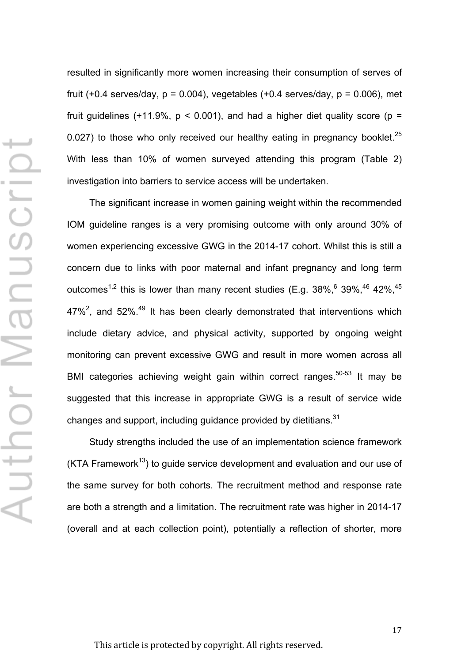resulted in significantly more women increasing their consumption of serves of fruit  $(+0.4$  serves/day,  $p = 0.004$ ), vegetables  $(+0.4$  serves/day,  $p = 0.006$ ), met fruit guidelines (+11.9%,  $p < 0.001$ ), and had a higher diet quality score ( $p =$ 0.027) to those who only received our healthy eating in pregnancy booklet.<sup>25</sup> With less than 10% of women surveyed attending this program (Table 2) investigation into barriers to service access will be undertaken.

The significant increase in women gaining weight within the recommended IOM guideline ranges is a very promising outcome with only around 30% of women experiencing excessive GWG in the 2014-17 cohort. Whilst this is still a concern due to links with poor maternal and infant pregnancy and long term outcomes<sup>1,2</sup> this is lower than many recent studies (E.g.  $38\%$ ,  $6\%$  39%,  $46\%$  42%,  $45\%$ 47%<sup>2</sup>, and 52%.<sup>49</sup> It has been clearly demonstrated that interventions which include dietary advice, and physical activity, supported by ongoing weight monitoring can prevent excessive GWG and result in more women across all BMI categories achieving weight gain within correct ranges.<sup>50-53</sup> It may be suggested that this increase in appropriate GWG is a result of service wide changes and support, including quidance provided by dietitians. $31$ 

Study strengths included the use of an implementation science framework (KTA Framework<sup>13</sup>) to guide service development and evaluation and our use of the same survey for both cohorts. The recruitment method and response rate are both a strength and a limitation. The recruitment rate was higher in 2014-17 (overall and at each collection point), potentially a reflection of shorter, more

This article is protected by copyright. All rights reserved.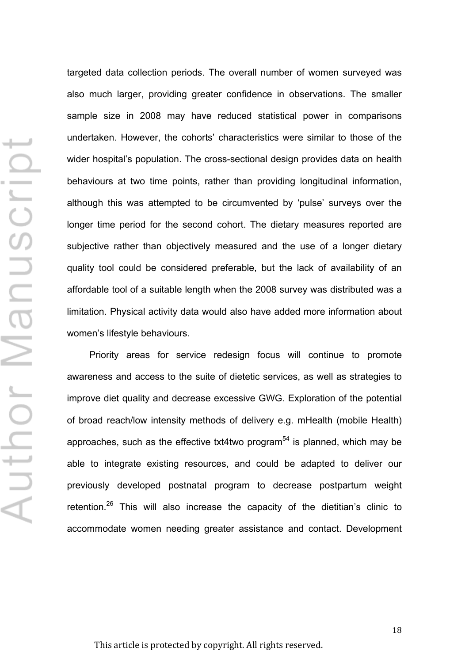targeted data collection periods. The overall number of women surveyed was also much larger, providing greater confidence in observations. The smaller sample size in 2008 may have reduced statistical power in comparisons undertaken. However, the cohorts' characteristics were similar to those of the wider hospital's population. The cross-sectional design provides data on health behaviours at two time points, rather than providing longitudinal information, although this was attempted to be circumvented by 'pulse' surveys over the longer time period for the second cohort. The dietary measures reported are subjective rather than objectively measured and the use of a longer dietary quality tool could be considered preferable, but the lack of availability of an affordable tool of a suitable length when the 2008 survey was distributed was a limitation. Physical activity data would also have added more information about women's lifestyle behaviours.

Priority areas for service redesign focus will continue to promote awareness and access to the suite of dietetic services, as well as strategies to improve diet quality and decrease excessive GWG. Exploration of the potential of broad reach/low intensity methods of delivery e.g. mHealth (mobile Health) approaches, such as the effective txt4two program<sup>54</sup> is planned, which may be able to integrate existing resources, and could be adapted to deliver our previously developed postnatal program to decrease postpartum weight retention.<sup>26</sup> This will also increase the capacity of the dietitian's clinic to accommodate women needing greater assistance and contact. Development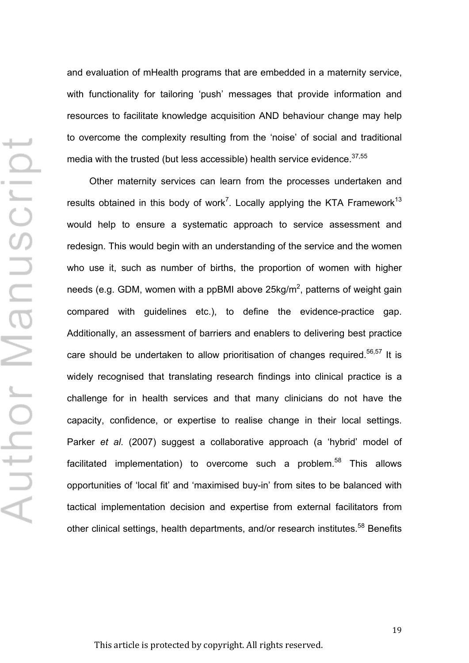and evaluation of mHealth programs that are embedded in a maternity service, with functionality for tailoring 'push' messages that provide information and resources to facilitate knowledge acquisition AND behaviour change may help to overcome the complexity resulting from the 'noise' of social and traditional media with the trusted (but less accessible) health service evidence.<sup>37,55</sup>

Other maternity services can learn from the processes undertaken and results obtained in this body of work<sup>7</sup>. Locally applying the KTA Framework<sup>13</sup> would help to ensure a systematic approach to service assessment and redesign. This would begin with an understanding of the service and the women who use it, such as number of births, the proportion of women with higher needs (e.g. GDM, women with a ppBMI above 25 $kg/m^2$ , patterns of weight gain compared with guidelines etc.), to define the evidence-practice gap. Additionally, an assessment of barriers and enablers to delivering best practice care should be undertaken to allow prioritisation of changes required.<sup>56,57</sup> It is widely recognised that translating research findings into clinical practice is a challenge for in health services and that many clinicians do not have the capacity, confidence, or expertise to realise change in their local settings. Parker *et al*. (2007) suggest a collaborative approach (a 'hybrid' model of facilitated implementation) to overcome such a problem.<sup>58</sup> This allows opportunities of 'local fit' and 'maximised buy-in' from sites to be balanced with tactical implementation decision and expertise from external facilitators from other clinical settings, health departments, and/or research institutes.<sup>58</sup> Benefits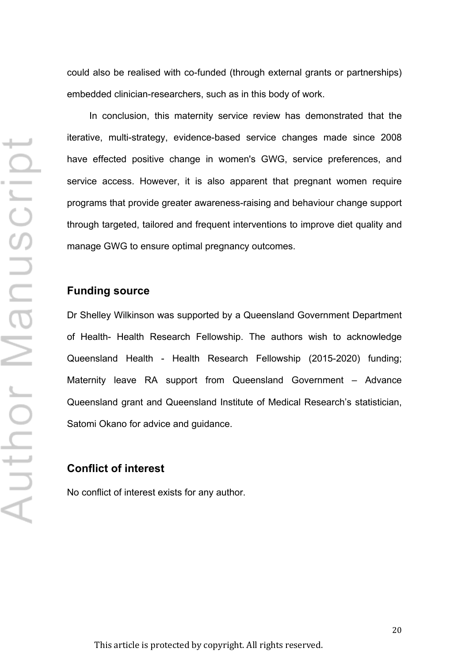could also be realised with co-funded (through external grants or partnerships) embedded clinician-researchers, such as in this body of work.

In conclusion, this maternity service review has demonstrated that the iterative, multi-strategy, evidence-based service changes made since 2008 have effected positive change in women's GWG, service preferences, and service access. However, it is also apparent that pregnant women require programs that provide greater awareness-raising and behaviour change support through targeted, tailored and frequent interventions to improve diet quality and manage GWG to ensure optimal pregnancy outcomes.

#### **Funding source**

Dr Shelley Wilkinson was supported by a Queensland Government Department of Health- Health Research Fellowship. The authors wish to acknowledge Queensland Health - Health Research Fellowship (2015-2020) funding; Maternity leave RA support from Queensland Government – Advance Queensland grant and Queensland Institute of Medical Research's statistician, Satomi Okano for advice and guidance.

#### **Conflict of interest**

No conflict of interest exists for any author.

This article is protected by copyright. All rights reserved.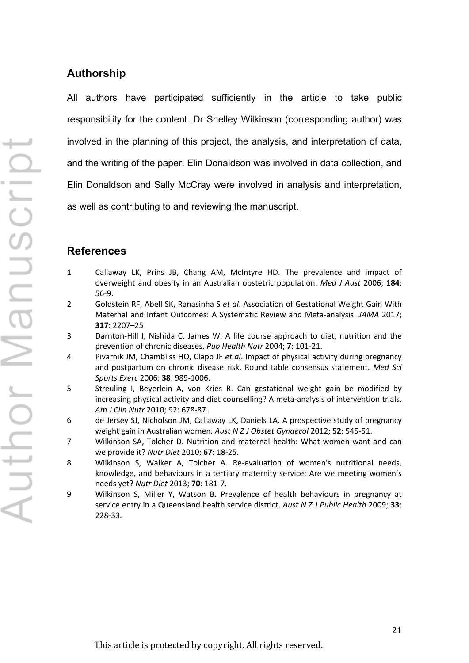# **Authorship**

All authors have participated sufficiently in the article to take public responsibility for the content. Dr Shelley Wilkinson (corresponding author) was involved in the planning of this project, the analysis, and interpretation of data, and the writing of the paper. Elin Donaldson was involved in data collection, and Elin Donaldson and Sally McCray were involved in analysis and interpretation, as well as contributing to and reviewing the manuscript.

## **References**

- 1 Callaway LK, Prins JB, Chang AM, McIntyre HD. The prevalence and impact of overweight and obesity in an Australian obstetric population. *Med J Aust* 2006; **184**: 56-9.
- 2 Goldstein RF, Abell SK, Ranasinha S *et al*. Association of Gestational Weight Gain With Maternal and Infant Outcomes: A Systematic Review and Meta-analysis. *JAMA* 2017; **317**: 2207–25
- 3 Darnton-Hill I, Nishida C, James W. A life course approach to diet, nutrition and the prevention of chronic diseases. *Pub Health Nutr* 2004; **7**: 101-21.
- 4 Pivarnik JM, Chambliss HO, Clapp JF *et al*. Impact of physical activity during pregnancy and postpartum on chronic disease risk. Round table consensus statement. *Med Sci Sports Exerc* 2006; **38**: 989-1006.
- 5 Streuling I, Beyerlein A, von Kries R. Can gestational weight gain be modified by increasing physical activity and diet counselling? A meta-analysis of intervention trials. *Am J Clin Nutr* 2010; 92: 678-87.
- 6 de Jersey SJ, Nicholson JM, Callaway LK, Daniels LA. A prospective study of pregnancy weight gain in Australian women. *Aust N Z J Obstet Gynaecol* 2012; **52**: 545-51.
- 7 Wilkinson SA, Tolcher D. Nutrition and maternal health: What women want and can we provide it? *Nutr Diet* 2010; **67**: 18-25.
- 8 Wilkinson S, Walker A, Tolcher A. Re-evaluation of women's nutritional needs, knowledge, and behaviours in a tertiary maternity service: Are we meeting women's needs yet? *Nutr Diet* 2013; **70**: 181-7.
- 9 Wilkinson S, Miller Y, Watson B. Prevalence of health behaviours in pregnancy at service entry in a Queensland health service district. *Aust N Z J Public Health* 2009; **33**: 228-33.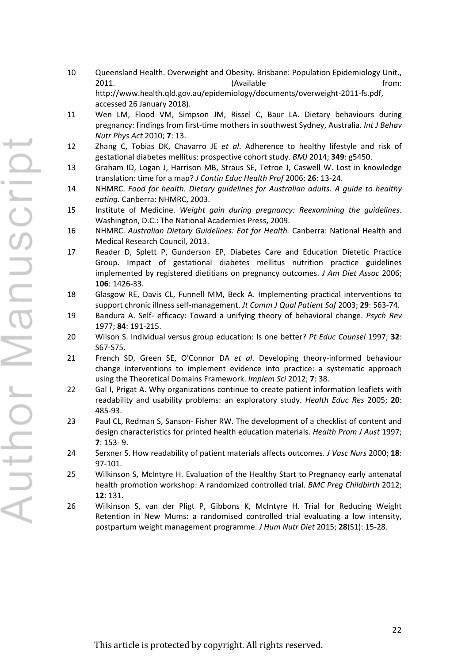- 10 Queensland Health. Overweight and Obesity. Brisbane: Population Epidemiology Unit., 2011. The contract of the contract of the contract (Available contract of the from: http://www.health.qld.gov.au/epidemiology/documents/overweight-2011-fs.pdf, accessed 26 January 2018).
- 11 Wen LM, Flood VM, Simpson JM, Rissel C, Baur LA. Dietary behaviours during pregnancy: findings from first-time mothers in southwest Sydney, Australia. *Int J Behav Nutr Phys Act* 2010; **7**: 13.
- 12 Zhang C, Tobias DK, Chavarro JE *et al*. Adherence to healthy lifestyle and risk of gestational diabetes mellitus: prospective cohort study. *BMJ* 2014; **349**: g5450.
- 13 Graham ID, Logan J, Harrison MB, Straus SE, Tetroe J, Caswell W. Lost in knowledge translation: time for a map? *J Contin Educ Health Prof* 2006; **26**: 13-24.
- 14 NHMRC. *Food for health. Dietary guidelines for Australian adults. A guide to healthy eating.* Canberra: NHMRC, 2003.
- 15 Institute of Medicine. *Weight gain during pregnancy: Reexamining the guidelines*. Washington, D.C.: The National Academies Press, 2009.
- 16 NHMRC. *Australian Dietary Guidelines: Eat for Health.* Canberra: National Health and Medical Research Council, 2013.
- 17 Reader D, Splett P, Gunderson EP, Diabetes Care and Education Dietetic Practice Group. Impact of gestational diabetes mellitus nutrition practice guidelines implemented by registered dietitians on pregnancy outcomes. *J Am Diet Assoc* 2006; **106**: 1426-33.
- 18 Glasgow RE, Davis CL, Funnell MM, Beck A. Implementing practical interventions to support chronic illness self-management. *Jt Comm J Qual Patient Saf* 2003; **29**: 563-74.
- 19 Bandura A. Self- efficacy: Toward a unifying theory of behavioral change. *Psych Rev* 1977; **84**: 191-215.
- 20 Wilson S. Individual versus group education: Is one better? *Pt Educ Counsel* 1997; **32**: S67-S75.
- 21 French SD, Green SE, O'Connor DA *et al*. Developing theory-informed behaviour change interventions to implement evidence into practice: a systematic approach using the Theoretical Domains Framework. *Implem Sci* 2012; **7**: 38.
- 22 Gal I, Prigat A. Why organizations continue to create patient information leaflets with readability and usability problems: an exploratory study. *Health Educ Res* 2005; **20**: 485-93.
- 23 Paul CL, Redman S, Sanson- Fisher RW. The development of a checklist of content and design characteristics for printed health education materials. *Health Prom J Aust* 1997; **7**: 153- 9.
- 24 Serxner S. How readability of patient materials affects outcomes. *J Vasc Nurs* 2000; **18**: 97-101.
- 25 Wilkinson S, McIntyre H. Evaluation of the Healthy Start to Pregnancy early antenatal health promotion workshop: A randomized controlled trial. *BMC Preg Childbirth* 2012; **12**: 131.
- 26 Wilkinson S, van der Pligt P, Gibbons K, McIntyre H. Trial for Reducing Weight Retention in New Mums: a randomised controlled trial evaluating a low intensity, postpartum weight management programme. *J Hum Nutr Diet* 2015; **28**(S1): 15-28.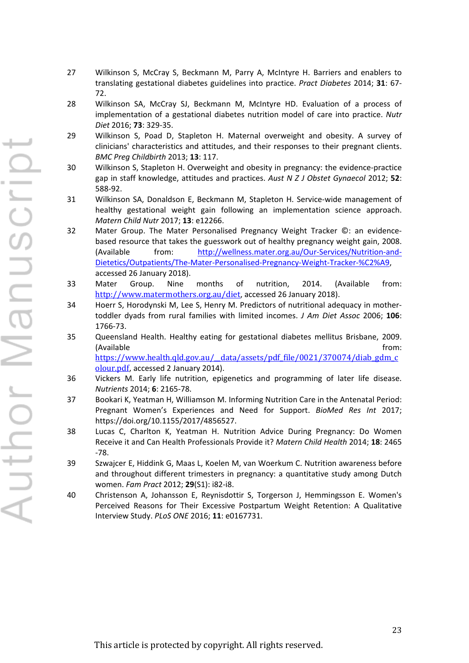- 27 Wilkinson S, McCray S, Beckmann M, Parry A, McIntyre H. Barriers and enablers to translating gestational diabetes guidelines into practice. *Pract Diabetes* 2014; **31**: 67- 72.
- 28 Wilkinson SA, McCray SJ, Beckmann M, McIntyre HD. Evaluation of a process of implementation of a gestational diabetes nutrition model of care into practice. *Nutr Diet* 2016; **73**: 329-35.
- 29 Wilkinson S, Poad D, Stapleton H. Maternal overweight and obesity. A survey of clinicians' characteristics and attitudes, and their responses to their pregnant clients. *BMC Preg Childbirth* 2013; **13**: 117.
- 30 Wilkinson S, Stapleton H. Overweight and obesity in pregnancy: the evidence-practice gap in staff knowledge, attitudes and practices. *Aust N Z J Obstet Gynaecol* 2012; **52**: 588-92.
- 31 Wilkinson SA, Donaldson E, Beckmann M, Stapleton H. Service-wide management of healthy gestational weight gain following an implementation science approach. *Matern Child Nutr* 2017; **13**: e12266.
- 32 Mater Group. The Mater Personalised Pregnancy Weight Tracker ©: an evidencebased resource that takes the guesswork out of healthy pregnancy weight gain, 2008. (Available from: http://wellness.mater.org.au/Our-Services/Nutrition-and-Dietetics/Outpatients/The-Mater-Personalised-Pregnancy-Weight-Tracker-%C2%A9, accessed 26 January 2018).
- 33 Mater Group. Nine months of nutrition, 2014. (Available from: http://www.matermothers.org.au/diet, accessed 26 January 2018).
- 34 Hoerr S, Horodynski M, Lee S, Henry M. Predictors of nutritional adequacy in mothertoddler dyads from rural families with limited incomes. *J Am Diet Assoc* 2006; **106**: 1766-73.
- 35 Queensland Health. Healthy eating for gestational diabetes mellitus Brisbane, 2009. (Available from:  $\blacksquare$ https://www.health.qld.gov.au/\_\_data/assets/pdf\_file/0021/370074/diab\_gdm\_c

olour.pdf, accessed 2 January 2014). 36 Vickers M. Early life nutrition, epigenetics and programming of later life disease. *Nutrients* 2014; **6**: 2165-78.

- 37 Bookari K, Yeatman H, Williamson M. Informing Nutrition Care in the Antenatal Period: Pregnant Women's Experiences and Need for Support. *BioMed Res Int* 2017; https://doi.org/10.1155/2017/4856527.
- 38 Lucas C, Charlton K, Yeatman H. Nutrition Advice During Pregnancy: Do Women Receive it and Can Health Professionals Provide it? *Matern Child Health* 2014; **18**: 2465 -78.
- 39 Szwajcer E, Hiddink G, Maas L, Koelen M, van Woerkum C. Nutrition awareness before and throughout different trimesters in pregnancy: a quantitative study among Dutch women. *Fam Pract* 2012; **29**(S1): i82-i8.
- 40 Christenson A, Johansson E, Reynisdottir S, Torgerson J, Hemmingsson E. Women's Perceived Reasons for Their Excessive Postpartum Weight Retention: A Qualitative Interview Study. *PLoS ONE* 2016; **11**: e0167731.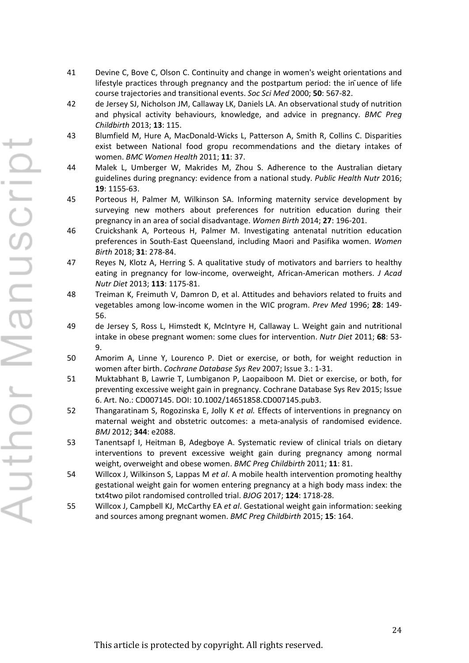- 41 Devine C, Bove C, Olson C. Continuity and change in women's weight orientations and lifestyle practices through pregnancy and the postpartum period: the in ̄uence of life course trajectories and transitional events. *Soc Sci Med* 2000; **50**: 567-82.
- 42 de Jersey SJ, Nicholson JM, Callaway LK, Daniels LA. An observational study of nutrition and physical activity behaviours, knowledge, and advice in pregnancy. *BMC Preg Childbirth* 2013; **13**: 115.
- 43 Blumfield M, Hure A, MacDonald-Wicks L, Patterson A, Smith R, Collins C. Disparities exist between National food gropu recommendations and the dietary intakes of women. *BMC Women Health* 2011; **11**: 37.
- 44 Malek L, Umberger W, Makrides M, Zhou S. Adherence to the Australian dietary guidelines during pregnancy: evidence from a national study. *Public Health Nutr* 2016; **19**: 1155-63.
- 45 Porteous H, Palmer M, Wilkinson SA. Informing maternity service development by surveying new mothers about preferences for nutrition education during their pregnancy in an area of social disadvantage. *Women Birth* 2014; **27**: 196-201.
- 46 Cruickshank A, Porteous H, Palmer M. Investigating antenatal nutrition education preferences in South-East Queensland, including Maori and Pasifika women. *Women Birth* 2018; **31**: 278-84.
- 47 Reyes N, Klotz A, Herring S. A qualitative study of motivators and barriers to healthy eating in pregnancy for low-income, overweight, African-American mothers. *J Acad Nutr Diet* 2013; **113**: 1175-81.
- 48 Treiman K, Freimuth V, Damron D, et al. Attitudes and behaviors related to fruits and vegetables among low-income women in the WIC program. *Prev Med* 1996; **28**: 149- 56.
- 49 de Jersey S, Ross L, Himstedt K, McIntyre H, Callaway L. Weight gain and nutritional intake in obese pregnant women: some clues for intervention. *Nutr Diet* 2011; **68**: 53- 9.
- 50 Amorim A, Linne Y, Lourenco P. Diet or exercise, or both, for weight reduction in women after birth. *Cochrane Database Sys Rev* 2007; Issue 3.: 1-31.
- 51 Muktabhant B, Lawrie T, Lumbiganon P, Laopaiboon M. Diet or exercise, or both, for preventing excessive weight gain in pregnancy. Cochrane Database Sys Rev 2015; Issue 6. Art. No.: CD007145. DOI: 10.1002/14651858.CD007145.pub3.
- 52 Thangaratinam S, Rogozinska E, Jolly K *et al.* Effects of interventions in pregnancy on maternal weight and obstetric outcomes: a meta-analysis of randomised evidence. *BMJ* 2012; **344**: e2088.
- 53 Tanentsapf I, Heitman B, Adegboye A. Systematic review of clinical trials on dietary interventions to prevent excessive weight gain during pregnancy among normal weight, overweight and obese women. *BMC Preg Childbirth* 2011; **11**: 81.
- 54 Willcox J, Wilkinson S, Lappas M *et al*. A mobile health intervention promoting healthy gestational weight gain for women entering pregnancy at a high body mass index: the txt4two pilot randomised controlled trial. *BJOG* 2017; **124**: 1718-28.
- 55 Willcox J, Campbell KJ, McCarthy EA *et al*. Gestational weight gain information: seeking and sources among pregnant women. *BMC Preg Childbirth* 2015; **15**: 164.